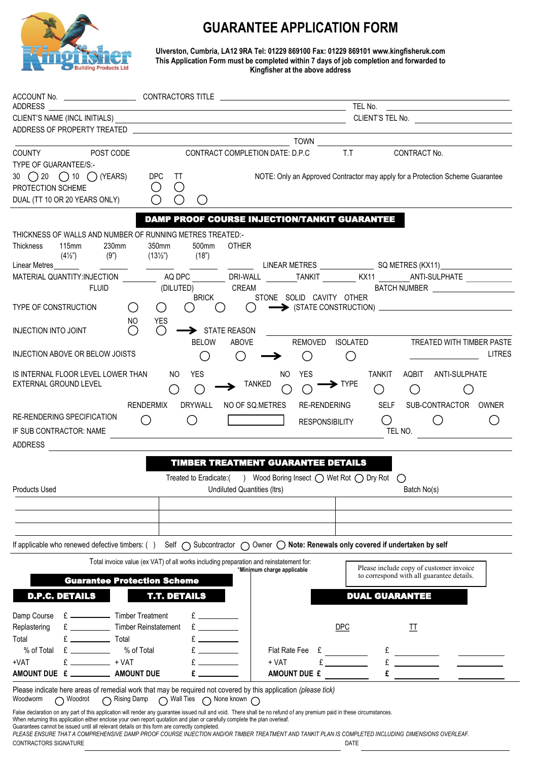

## **GUARANTEE APPLICATION FORM**

**Ulverston, Cumbria, LA12 9RA Tel: 01229 869100 Fax: 01229 869101 www.kingfisheruk.com This Application Form must be completed within 7 days of job completion and forwarded to Kingfisher at the above address** 

| ADDRESS                                                                                                                                                                                                                                                                                                                                                                          |                                                                                                                                                                                                                                                                                                                                                                                                                                                                            | ACCOUNT No. _____________________________CONTRACTORS TITLE ______________________<br>the control of the control of the control of the control of the control of the control of                                                                                                                                                                                                   |                                                                               |                           |  |  |  |  |  |  |  |  |
|----------------------------------------------------------------------------------------------------------------------------------------------------------------------------------------------------------------------------------------------------------------------------------------------------------------------------------------------------------------------------------|----------------------------------------------------------------------------------------------------------------------------------------------------------------------------------------------------------------------------------------------------------------------------------------------------------------------------------------------------------------------------------------------------------------------------------------------------------------------------|----------------------------------------------------------------------------------------------------------------------------------------------------------------------------------------------------------------------------------------------------------------------------------------------------------------------------------------------------------------------------------|-------------------------------------------------------------------------------|---------------------------|--|--|--|--|--|--|--|--|
|                                                                                                                                                                                                                                                                                                                                                                                  |                                                                                                                                                                                                                                                                                                                                                                                                                                                                            | <u>in the contract of the contract of the contract of the contract of the contract of the contract of the contract of the contract of the contract of the contract of the contract of the contract of the contract of the contra</u><br><u> 1989 - John Stein, mars and de final and de final and de final and de final and de final and de final and de</u><br>CLIENT'S TEL No. |                                                                               |                           |  |  |  |  |  |  |  |  |
| ADDRESS OF PROPERTY TREATED THE CONTROL CONTROL CONTROL CONTROL CONTROL CONTROL CONTROL CONTROL CONTROL CONTROL CONTROL CONTROL CONTROL CONTROL CONTROL CONTROL CONTROL CONTROL CONTROL CONTROL CONTROL CONTROL CONTROL CONTRO                                                                                                                                                   |                                                                                                                                                                                                                                                                                                                                                                                                                                                                            |                                                                                                                                                                                                                                                                                                                                                                                  |                                                                               |                           |  |  |  |  |  |  |  |  |
|                                                                                                                                                                                                                                                                                                                                                                                  |                                                                                                                                                                                                                                                                                                                                                                                                                                                                            |                                                                                                                                                                                                                                                                                                                                                                                  | TOWN <b>CONSTRUCTION</b>                                                      |                           |  |  |  |  |  |  |  |  |
| POST CODE<br><b>COUNTY COUNTY</b>                                                                                                                                                                                                                                                                                                                                                |                                                                                                                                                                                                                                                                                                                                                                                                                                                                            | CONTRACT COMPLETION DATE: D.P.C                                                                                                                                                                                                                                                                                                                                                  | T.T<br>CONTRACT No.                                                           |                           |  |  |  |  |  |  |  |  |
| <b>TYPE OF GUARANTEE/S:-</b>                                                                                                                                                                                                                                                                                                                                                     |                                                                                                                                                                                                                                                                                                                                                                                                                                                                            |                                                                                                                                                                                                                                                                                                                                                                                  |                                                                               |                           |  |  |  |  |  |  |  |  |
| 30 $\bigcirc$ 20 $\bigcirc$ 10 $\bigcirc$ (YEARS)                                                                                                                                                                                                                                                                                                                                | <b>DPC</b><br>TT                                                                                                                                                                                                                                                                                                                                                                                                                                                           |                                                                                                                                                                                                                                                                                                                                                                                  | NOTE: Only an Approved Contractor may apply for a Protection Scheme Guarantee |                           |  |  |  |  |  |  |  |  |
| PROTECTION SCHEME                                                                                                                                                                                                                                                                                                                                                                | $\bigcirc$<br>$\bigcirc$                                                                                                                                                                                                                                                                                                                                                                                                                                                   |                                                                                                                                                                                                                                                                                                                                                                                  |                                                                               |                           |  |  |  |  |  |  |  |  |
| DUAL (TT 10 OR 20 YEARS ONLY)                                                                                                                                                                                                                                                                                                                                                    | $\bigcirc$<br>$\bigcirc$<br>O                                                                                                                                                                                                                                                                                                                                                                                                                                              |                                                                                                                                                                                                                                                                                                                                                                                  |                                                                               |                           |  |  |  |  |  |  |  |  |
|                                                                                                                                                                                                                                                                                                                                                                                  |                                                                                                                                                                                                                                                                                                                                                                                                                                                                            | <b>DAMP PROOF COURSE INJECTION/TANKIT GUARANTEE</b>                                                                                                                                                                                                                                                                                                                              |                                                                               |                           |  |  |  |  |  |  |  |  |
| THICKNESS OF WALLS AND NUMBER OF RUNNING METRES TREATED:-                                                                                                                                                                                                                                                                                                                        |                                                                                                                                                                                                                                                                                                                                                                                                                                                                            |                                                                                                                                                                                                                                                                                                                                                                                  |                                                                               |                           |  |  |  |  |  |  |  |  |
| 230mm<br><b>Thickness</b><br>115mm                                                                                                                                                                                                                                                                                                                                               | 350mm<br>500mm                                                                                                                                                                                                                                                                                                                                                                                                                                                             | <b>OTHER</b>                                                                                                                                                                                                                                                                                                                                                                     |                                                                               |                           |  |  |  |  |  |  |  |  |
| $(4\frac{1}{2})$                                                                                                                                                                                                                                                                                                                                                                 | $(9")$ $(13\frac{1}{2})$ $(18")$                                                                                                                                                                                                                                                                                                                                                                                                                                           |                                                                                                                                                                                                                                                                                                                                                                                  |                                                                               |                           |  |  |  |  |  |  |  |  |
| Linear Metres                                                                                                                                                                                                                                                                                                                                                                    | $\frac{1}{2} \left( \frac{1}{2} \right) \left( \frac{1}{2} \right) \left( \frac{1}{2} \right) \left( \frac{1}{2} \right) \left( \frac{1}{2} \right) \left( \frac{1}{2} \right) \left( \frac{1}{2} \right) \left( \frac{1}{2} \right) \left( \frac{1}{2} \right) \left( \frac{1}{2} \right) \left( \frac{1}{2} \right) \left( \frac{1}{2} \right) \left( \frac{1}{2} \right) \left( \frac{1}{2} \right) \left( \frac{1}{2} \right) \left( \frac{1}{2} \right) \left( \frac$ |                                                                                                                                                                                                                                                                                                                                                                                  |                                                                               |                           |  |  |  |  |  |  |  |  |
| MATERIAL QUANTITY:INJECTION ___________ AQ DPC _________ DRI-WALL ________ TANKIT ________ KX11 _______ ANTI-SULPHATE ___________                                                                                                                                                                                                                                                |                                                                                                                                                                                                                                                                                                                                                                                                                                                                            |                                                                                                                                                                                                                                                                                                                                                                                  |                                                                               |                           |  |  |  |  |  |  |  |  |
| <b>FLUID</b>                                                                                                                                                                                                                                                                                                                                                                     | (DILUTED)                                                                                                                                                                                                                                                                                                                                                                                                                                                                  | <b>CREAM</b>                                                                                                                                                                                                                                                                                                                                                                     |                                                                               |                           |  |  |  |  |  |  |  |  |
| TYPE OF CONSTRUCTION                                                                                                                                                                                                                                                                                                                                                             | <b>BRICK</b><br>$\bigcirc$<br>$\circ$<br>$($ )<br>$\left( \quad \right)$                                                                                                                                                                                                                                                                                                                                                                                                   | STONE SOLID CAVITY OTHER<br>$($ )                                                                                                                                                                                                                                                                                                                                                | $\rightarrow$ (STATE CONSTRUCTION) $\rightarrow$                              |                           |  |  |  |  |  |  |  |  |
|                                                                                                                                                                                                                                                                                                                                                                                  | <b>YES</b><br>NO.                                                                                                                                                                                                                                                                                                                                                                                                                                                          |                                                                                                                                                                                                                                                                                                                                                                                  |                                                                               |                           |  |  |  |  |  |  |  |  |
| <b>INJECTION INTO JOINT</b>                                                                                                                                                                                                                                                                                                                                                      | $\bigcirc$<br>◯<br>STATE REASON                                                                                                                                                                                                                                                                                                                                                                                                                                            |                                                                                                                                                                                                                                                                                                                                                                                  |                                                                               |                           |  |  |  |  |  |  |  |  |
|                                                                                                                                                                                                                                                                                                                                                                                  | <b>BELOW</b>                                                                                                                                                                                                                                                                                                                                                                                                                                                               | ABOVE                                                                                                                                                                                                                                                                                                                                                                            | REMOVED ISOLATED                                                              | TREATED WITH TIMBER PASTE |  |  |  |  |  |  |  |  |
| INJECTION ABOVE OR BELOW JOISTS                                                                                                                                                                                                                                                                                                                                                  | $($ )                                                                                                                                                                                                                                                                                                                                                                                                                                                                      | O                                                                                                                                                                                                                                                                                                                                                                                | Ő                                                                             | <b>LITRES</b>             |  |  |  |  |  |  |  |  |
| IS INTERNAL FLOOR LEVEL LOWER THAN                                                                                                                                                                                                                                                                                                                                               | <b>YES</b><br>NO.                                                                                                                                                                                                                                                                                                                                                                                                                                                          | <b>YES</b><br>NO.                                                                                                                                                                                                                                                                                                                                                                | <b>TANKIT</b>                                                                 | AQBIT ANTI-SULPHATE       |  |  |  |  |  |  |  |  |
| EXTERNAL GROUND LEVEL                                                                                                                                                                                                                                                                                                                                                            | $\left(\begin{array}{c} \end{array}\right)$<br>$\bigcirc$                                                                                                                                                                                                                                                                                                                                                                                                                  | <b>TANKED</b><br>$\left(\begin{array}{c} \cdot \end{array}\right)$<br>( )                                                                                                                                                                                                                                                                                                        | $\blacktriangleright$ TYPE<br>$\bigcirc$<br>$\left(\ \right)$                 |                           |  |  |  |  |  |  |  |  |
|                                                                                                                                                                                                                                                                                                                                                                                  | <b>RENDERMIX</b><br><b>DRYWALL</b>                                                                                                                                                                                                                                                                                                                                                                                                                                         | NO OF SQ.METRES<br>RE-RENDERING                                                                                                                                                                                                                                                                                                                                                  | SELF                                                                          | SUB-CONTRACTOR OWNER      |  |  |  |  |  |  |  |  |
| <b>RE-RENDERING SPECIFICATION</b>                                                                                                                                                                                                                                                                                                                                                |                                                                                                                                                                                                                                                                                                                                                                                                                                                                            |                                                                                                                                                                                                                                                                                                                                                                                  |                                                                               |                           |  |  |  |  |  |  |  |  |
| IF SUB CONTRACTOR: NAME                                                                                                                                                                                                                                                                                                                                                          | O<br>$\bigcirc$                                                                                                                                                                                                                                                                                                                                                                                                                                                            | <b>RESPONSIBILITY</b>                                                                                                                                                                                                                                                                                                                                                            | $\bigcirc$<br>TEL NO.                                                         | $\bigcirc$                |  |  |  |  |  |  |  |  |
| ADDRESS                                                                                                                                                                                                                                                                                                                                                                          |                                                                                                                                                                                                                                                                                                                                                                                                                                                                            |                                                                                                                                                                                                                                                                                                                                                                                  |                                                                               |                           |  |  |  |  |  |  |  |  |
|                                                                                                                                                                                                                                                                                                                                                                                  |                                                                                                                                                                                                                                                                                                                                                                                                                                                                            |                                                                                                                                                                                                                                                                                                                                                                                  |                                                                               |                           |  |  |  |  |  |  |  |  |
|                                                                                                                                                                                                                                                                                                                                                                                  |                                                                                                                                                                                                                                                                                                                                                                                                                                                                            | <b>TIMBER TREATMENT GUARANTEE DETAILS</b>                                                                                                                                                                                                                                                                                                                                        |                                                                               |                           |  |  |  |  |  |  |  |  |
|                                                                                                                                                                                                                                                                                                                                                                                  |                                                                                                                                                                                                                                                                                                                                                                                                                                                                            | Treated to Eradicate:( ) Wood Boring Insect ○ Wet Rot ○ Dry Rot ○                                                                                                                                                                                                                                                                                                                |                                                                               |                           |  |  |  |  |  |  |  |  |
| <b>Products Used</b>                                                                                                                                                                                                                                                                                                                                                             |                                                                                                                                                                                                                                                                                                                                                                                                                                                                            | Undiluted Quantities (Itrs)                                                                                                                                                                                                                                                                                                                                                      | Batch No(s)                                                                   |                           |  |  |  |  |  |  |  |  |
|                                                                                                                                                                                                                                                                                                                                                                                  |                                                                                                                                                                                                                                                                                                                                                                                                                                                                            |                                                                                                                                                                                                                                                                                                                                                                                  |                                                                               |                           |  |  |  |  |  |  |  |  |
|                                                                                                                                                                                                                                                                                                                                                                                  |                                                                                                                                                                                                                                                                                                                                                                                                                                                                            |                                                                                                                                                                                                                                                                                                                                                                                  |                                                                               |                           |  |  |  |  |  |  |  |  |
|                                                                                                                                                                                                                                                                                                                                                                                  |                                                                                                                                                                                                                                                                                                                                                                                                                                                                            |                                                                                                                                                                                                                                                                                                                                                                                  |                                                                               |                           |  |  |  |  |  |  |  |  |
| If applicable who renewed defective timbers: () Self $\bigcirc$ Subcontractor $\bigcirc$ Owner $\bigcirc$ Note: Renewals only covered if undertaken by self                                                                                                                                                                                                                      |                                                                                                                                                                                                                                                                                                                                                                                                                                                                            |                                                                                                                                                                                                                                                                                                                                                                                  |                                                                               |                           |  |  |  |  |  |  |  |  |
|                                                                                                                                                                                                                                                                                                                                                                                  |                                                                                                                                                                                                                                                                                                                                                                                                                                                                            |                                                                                                                                                                                                                                                                                                                                                                                  |                                                                               |                           |  |  |  |  |  |  |  |  |
|                                                                                                                                                                                                                                                                                                                                                                                  | Total invoice value (ex VAT) of all works including preparation and reinstatement for:                                                                                                                                                                                                                                                                                                                                                                                     | *Minimum charge applicable                                                                                                                                                                                                                                                                                                                                                       | Please include copy of customer invoice                                       |                           |  |  |  |  |  |  |  |  |
|                                                                                                                                                                                                                                                                                                                                                                                  | <b>Guarantee Protection Scheme</b>                                                                                                                                                                                                                                                                                                                                                                                                                                         |                                                                                                                                                                                                                                                                                                                                                                                  | to correspond with all guarantee details.                                     |                           |  |  |  |  |  |  |  |  |
| <b>D.P.C. DETAILS</b>                                                                                                                                                                                                                                                                                                                                                            | <b>T.T. DETAILS</b>                                                                                                                                                                                                                                                                                                                                                                                                                                                        |                                                                                                                                                                                                                                                                                                                                                                                  | <b>DUAL GUARANTEE</b>                                                         |                           |  |  |  |  |  |  |  |  |
| Damp Course                                                                                                                                                                                                                                                                                                                                                                      |                                                                                                                                                                                                                                                                                                                                                                                                                                                                            |                                                                                                                                                                                                                                                                                                                                                                                  |                                                                               |                           |  |  |  |  |  |  |  |  |
| Timber Reinstatement<br>Replastering                                                                                                                                                                                                                                                                                                                                             |                                                                                                                                                                                                                                                                                                                                                                                                                                                                            |                                                                                                                                                                                                                                                                                                                                                                                  | <b>DPC</b><br>ТT                                                              |                           |  |  |  |  |  |  |  |  |
| Total<br>Total                                                                                                                                                                                                                                                                                                                                                                   |                                                                                                                                                                                                                                                                                                                                                                                                                                                                            |                                                                                                                                                                                                                                                                                                                                                                                  |                                                                               |                           |  |  |  |  |  |  |  |  |
| % of Total<br>$E \sim$                                                                                                                                                                                                                                                                                                                                                           | % of Total                                                                                                                                                                                                                                                                                                                                                                                                                                                                 | Flat Rate Fee<br>£                                                                                                                                                                                                                                                                                                                                                               | £                                                                             |                           |  |  |  |  |  |  |  |  |
| $+ VAT$<br>+VAT                                                                                                                                                                                                                                                                                                                                                                  |                                                                                                                                                                                                                                                                                                                                                                                                                                                                            | $+ VAT$                                                                                                                                                                                                                                                                                                                                                                          | £                                                                             |                           |  |  |  |  |  |  |  |  |
| AMOUNT DUE £ ___________________ AMOUNT DUE                                                                                                                                                                                                                                                                                                                                      |                                                                                                                                                                                                                                                                                                                                                                                                                                                                            | AMOUNT DUE £                                                                                                                                                                                                                                                                                                                                                                     | $f \longrightarrow$                                                           |                           |  |  |  |  |  |  |  |  |
| Please indicate here areas of remedial work that may be required not covered by this application (please tick)<br>Rising Damp<br>Woodworm<br>◯ Woodrot                                                                                                                                                                                                                           | O Wall Ties O None known O                                                                                                                                                                                                                                                                                                                                                                                                                                                 |                                                                                                                                                                                                                                                                                                                                                                                  |                                                                               |                           |  |  |  |  |  |  |  |  |
| False declaration on any part of this application will render any guarantee issued null and void. There shall be no refund of any premium paid in these circumstances.                                                                                                                                                                                                           |                                                                                                                                                                                                                                                                                                                                                                                                                                                                            |                                                                                                                                                                                                                                                                                                                                                                                  |                                                                               |                           |  |  |  |  |  |  |  |  |
| When returning this application either enclose your own report quotation and plan or carefully complete the plan overleaf.<br>Guarantees cannot be issued until all relevant details on this form are correctly completed.<br>PLEASE ENSURE THAT A COMPREHENSIVE DAMP PROOF COURSE INJECTION AND/OR TIMBER TREATMENT AND TANKIT PLAN IS COMPLETED INCLUDING DIMENSIONS OVERLEAF. |                                                                                                                                                                                                                                                                                                                                                                                                                                                                            |                                                                                                                                                                                                                                                                                                                                                                                  |                                                                               |                           |  |  |  |  |  |  |  |  |
| CONTRACTORS SIGNATURE                                                                                                                                                                                                                                                                                                                                                            |                                                                                                                                                                                                                                                                                                                                                                                                                                                                            |                                                                                                                                                                                                                                                                                                                                                                                  | DATE                                                                          |                           |  |  |  |  |  |  |  |  |